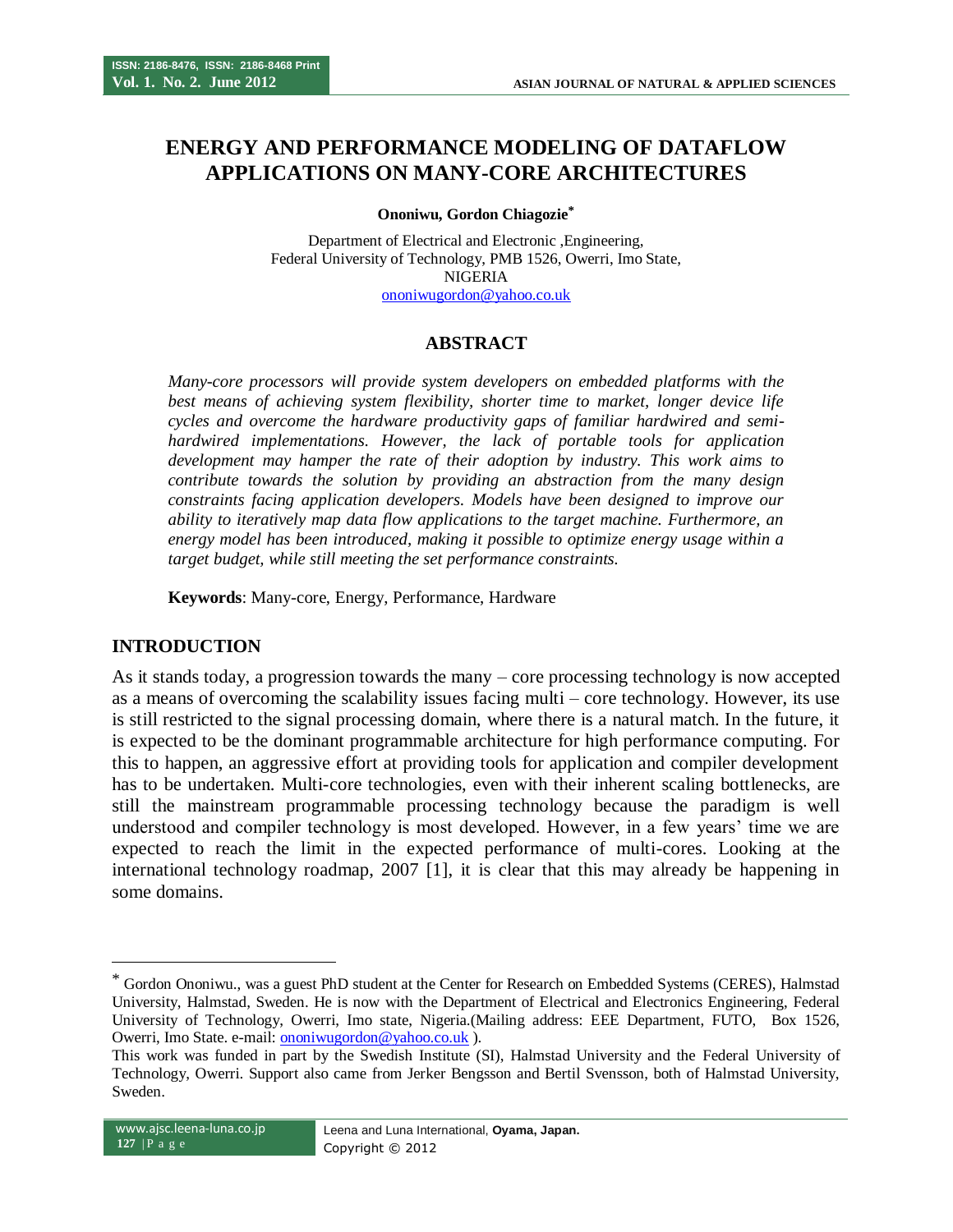# **ENERGY AND PERFORMANCE MODELING OF DATAFLOW APPLICATIONS ON MANY-CORE ARCHITECTURES**

#### **Ononiwu, Gordon Chiagozie\***

Department of Electrical and Electronic ,Engineering, Federal University of Technology, PMB 1526, Owerri, Imo State, NIGERIA [ononiwugordon@yahoo.co.uk](mailto:ononiwugordon@yahoo.co.uk)

### **ABSTRACT**

*Many-core processors will provide system developers on embedded platforms with the best means of achieving system flexibility, shorter time to market, longer device life cycles and overcome the hardware productivity gaps of familiar hardwired and semihardwired implementations. However, the lack of portable tools for application development may hamper the rate of their adoption by industry. This work aims to contribute towards the solution by providing an abstraction from the many design constraints facing application developers. Models have been designed to improve our ability to iteratively map data flow applications to the target machine. Furthermore, an energy model has been introduced, making it possible to optimize energy usage within a target budget, while still meeting the set performance constraints.*

**Keywords**: Many-core, Energy, Performance, Hardware

#### **INTRODUCTION**

As it stands today, a progression towards the many – core processing technology is now accepted as a means of overcoming the scalability issues facing multi – core technology. However, its use is still restricted to the signal processing domain, where there is a natural match. In the future, it is expected to be the dominant programmable architecture for high performance computing. For this to happen, an aggressive effort at providing tools for application and compiler development has to be undertaken. Multi-core technologies, even with their inherent scaling bottlenecks, are still the mainstream programmable processing technology because the paradigm is well understood and compiler technology is most developed. However, in a few years' time we are expected to reach the limit in the expected performance of multi-cores. Looking at the international technology roadmap, 2007 [1], it is clear that this may already be happening in some domains.

 $\overline{a}$ 

<sup>\*</sup> Gordon Ononiwu., was a guest PhD student at the Center for Research on Embedded Systems (CERES), Halmstad University, Halmstad, Sweden. He is now with the Department of Electrical and Electronics Engineering, Federal University of Technology, Owerri, Imo state, Nigeria.(Mailing address: EEE Department, FUTO, Box 1526, Owerri, Imo State. e-mail[: ononiwugordon@yahoo.co.uk](mailto:ononiwugordon@yahoo.co.uk) ).

This work was funded in part by the Swedish Institute (SI), Halmstad University and the Federal University of Technology, Owerri. Support also came from Jerker Bengsson and Bertil Svensson, both of Halmstad University, Sweden.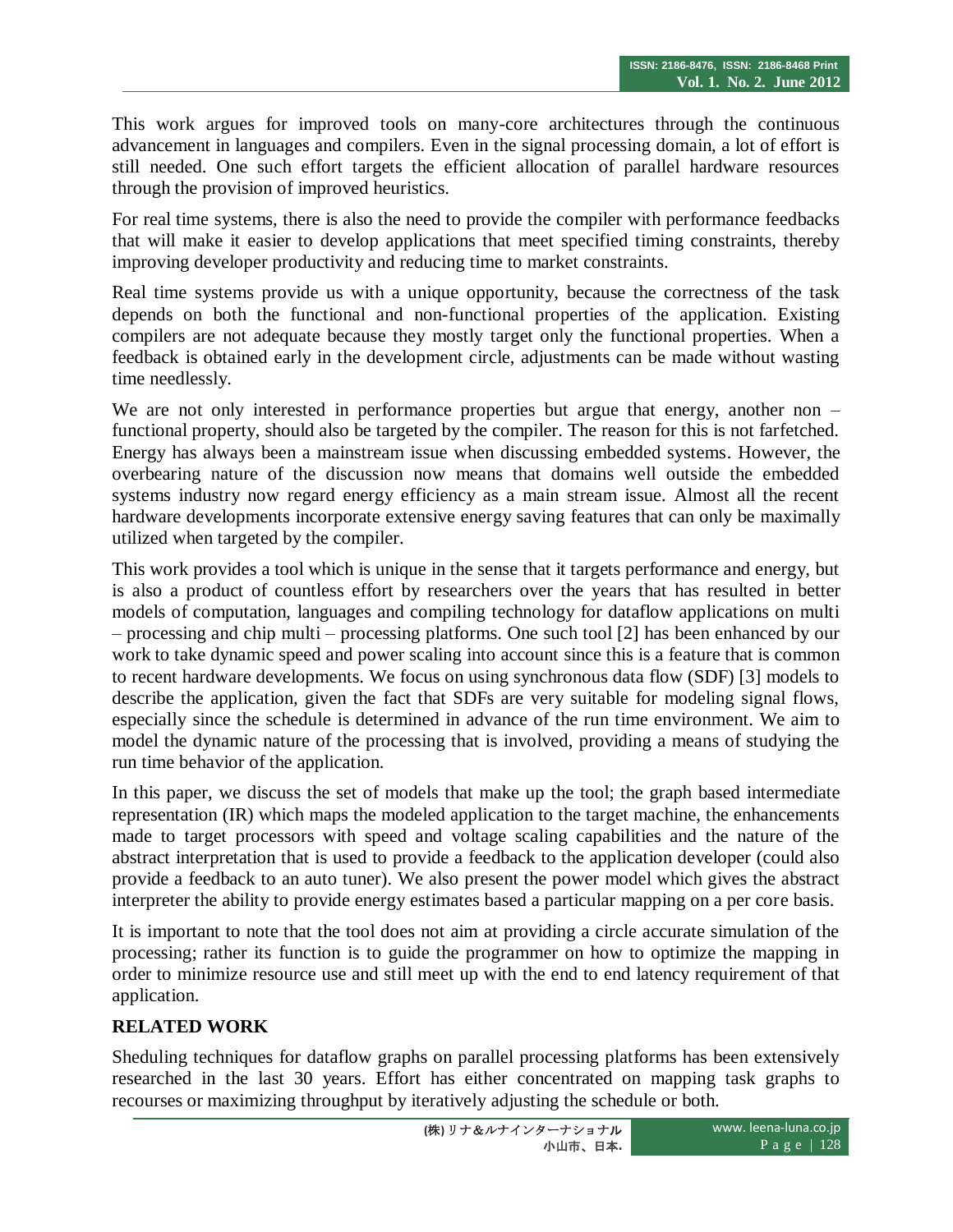This work argues for improved tools on many-core architectures through the continuous advancement in languages and compilers. Even in the signal processing domain, a lot of effort is still needed. One such effort targets the efficient allocation of parallel hardware resources through the provision of improved heuristics.

For real time systems, there is also the need to provide the compiler with performance feedbacks that will make it easier to develop applications that meet specified timing constraints, thereby improving developer productivity and reducing time to market constraints.

Real time systems provide us with a unique opportunity, because the correctness of the task depends on both the functional and non-functional properties of the application. Existing compilers are not adequate because they mostly target only the functional properties. When a feedback is obtained early in the development circle, adjustments can be made without wasting time needlessly.

We are not only interested in performance properties but argue that energy, another non – functional property, should also be targeted by the compiler. The reason for this is not farfetched. Energy has always been a mainstream issue when discussing embedded systems. However, the overbearing nature of the discussion now means that domains well outside the embedded systems industry now regard energy efficiency as a main stream issue. Almost all the recent hardware developments incorporate extensive energy saving features that can only be maximally utilized when targeted by the compiler.

This work provides a tool which is unique in the sense that it targets performance and energy, but is also a product of countless effort by researchers over the years that has resulted in better models of computation, languages and compiling technology for dataflow applications on multi – processing and chip multi – processing platforms. One such tool [2] has been enhanced by our work to take dynamic speed and power scaling into account since this is a feature that is common to recent hardware developments. We focus on using synchronous data flow (SDF) [3] models to describe the application, given the fact that SDFs are very suitable for modeling signal flows, especially since the schedule is determined in advance of the run time environment. We aim to model the dynamic nature of the processing that is involved, providing a means of studying the run time behavior of the application.

In this paper, we discuss the set of models that make up the tool; the graph based intermediate representation (IR) which maps the modeled application to the target machine, the enhancements made to target processors with speed and voltage scaling capabilities and the nature of the abstract interpretation that is used to provide a feedback to the application developer (could also provide a feedback to an auto tuner). We also present the power model which gives the abstract interpreter the ability to provide energy estimates based a particular mapping on a per core basis.

It is important to note that the tool does not aim at providing a circle accurate simulation of the processing; rather its function is to guide the programmer on how to optimize the mapping in order to minimize resource use and still meet up with the end to end latency requirement of that application.

# **RELATED WORK**

Sheduling techniques for dataflow graphs on parallel processing platforms has been extensively researched in the last 30 years. Effort has either concentrated on mapping task graphs to recourses or maximizing throughput by iteratively adjusting the schedule or both.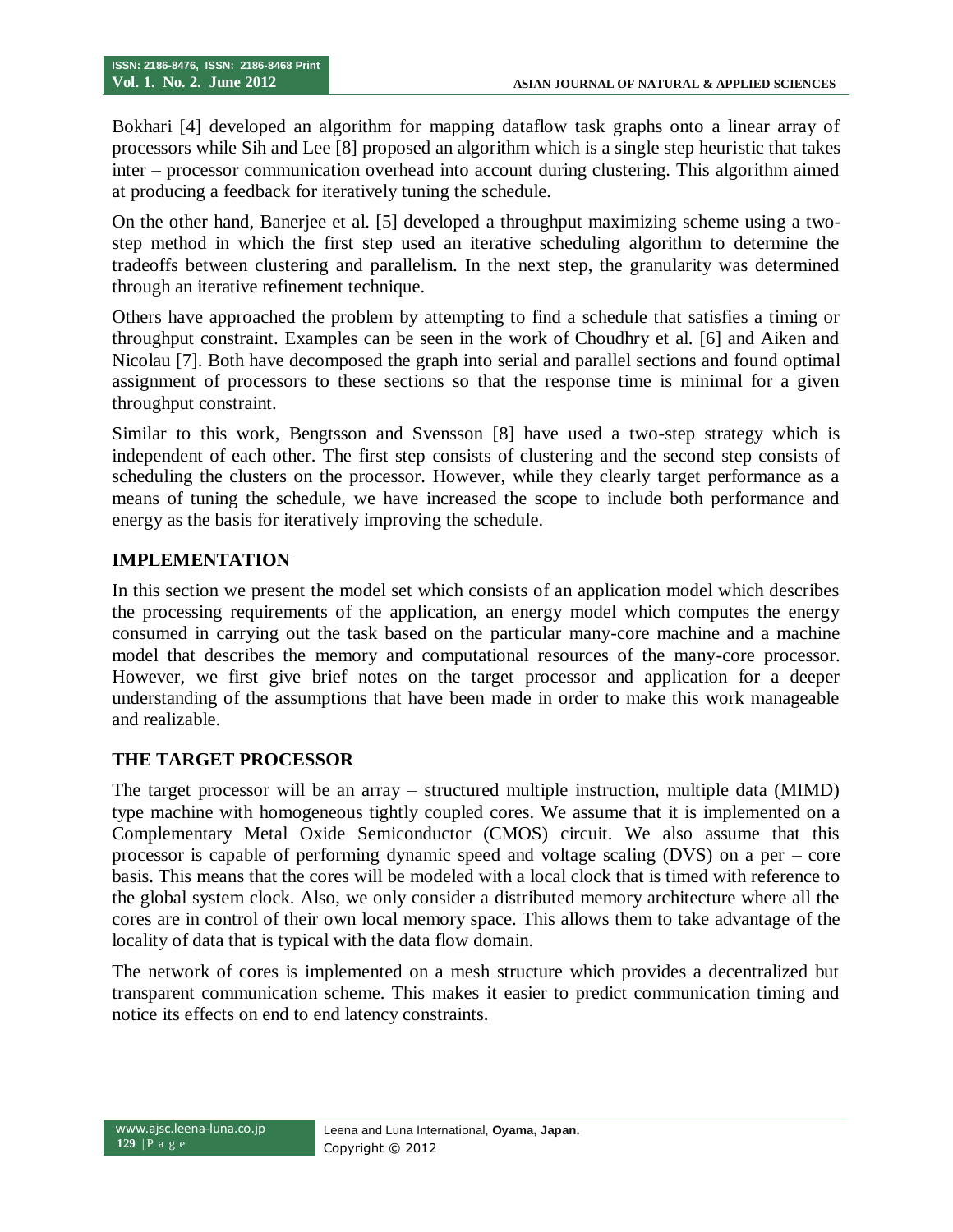Bokhari [4] developed an algorithm for mapping dataflow task graphs onto a linear array of processors while Sih and Lee [8] proposed an algorithm which is a single step heuristic that takes inter – processor communication overhead into account during clustering. This algorithm aimed at producing a feedback for iteratively tuning the schedule.

On the other hand, Banerjee et al. [5] developed a throughput maximizing scheme using a twostep method in which the first step used an iterative scheduling algorithm to determine the tradeoffs between clustering and parallelism. In the next step, the granularity was determined through an iterative refinement technique.

Others have approached the problem by attempting to find a schedule that satisfies a timing or throughput constraint. Examples can be seen in the work of Choudhry et al. [6] and Aiken and Nicolau [7]. Both have decomposed the graph into serial and parallel sections and found optimal assignment of processors to these sections so that the response time is minimal for a given throughput constraint.

Similar to this work, Bengtsson and Svensson [8] have used a two-step strategy which is independent of each other. The first step consists of clustering and the second step consists of scheduling the clusters on the processor. However, while they clearly target performance as a means of tuning the schedule, we have increased the scope to include both performance and energy as the basis for iteratively improving the schedule.

### **IMPLEMENTATION**

In this section we present the model set which consists of an application model which describes the processing requirements of the application, an energy model which computes the energy consumed in carrying out the task based on the particular many-core machine and a machine model that describes the memory and computational resources of the many-core processor. However, we first give brief notes on the target processor and application for a deeper understanding of the assumptions that have been made in order to make this work manageable and realizable.

#### **THE TARGET PROCESSOR**

The target processor will be an array – structured multiple instruction, multiple data (MIMD) type machine with homogeneous tightly coupled cores. We assume that it is implemented on a Complementary Metal Oxide Semiconductor (CMOS) circuit. We also assume that this processor is capable of performing dynamic speed and voltage scaling (DVS) on a per – core basis. This means that the cores will be modeled with a local clock that is timed with reference to the global system clock. Also, we only consider a distributed memory architecture where all the cores are in control of their own local memory space. This allows them to take advantage of the locality of data that is typical with the data flow domain.

The network of cores is implemented on a mesh structure which provides a decentralized but transparent communication scheme. This makes it easier to predict communication timing and notice its effects on end to end latency constraints.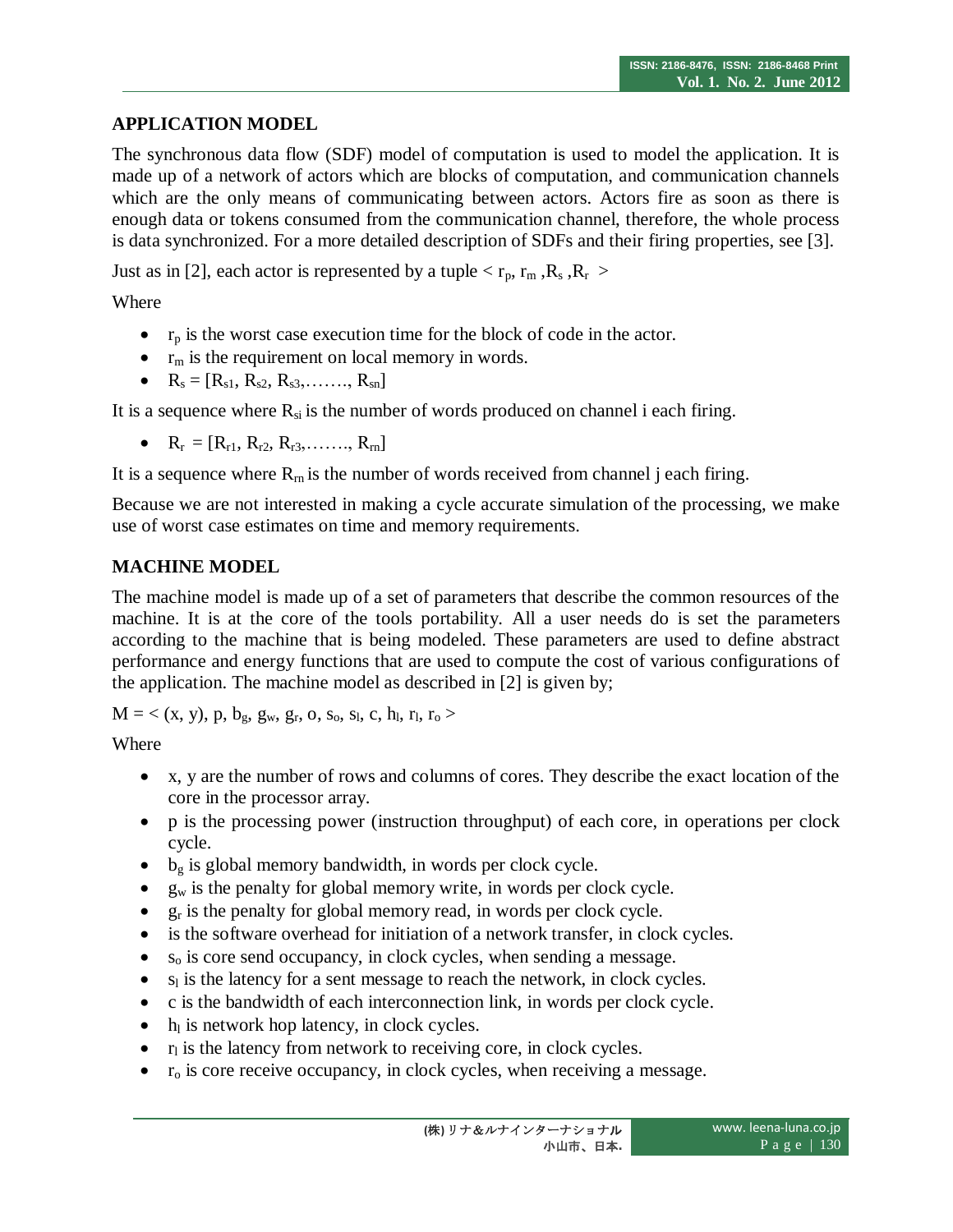# **APPLICATION MODEL**

The synchronous data flow (SDF) model of computation is used to model the application. It is made up of a network of actors which are blocks of computation, and communication channels which are the only means of communicating between actors. Actors fire as soon as there is enough data or tokens consumed from the communication channel, therefore, the whole process is data synchronized. For a more detailed description of SDFs and their firing properties, see [3].

Just as in [2], each actor is represented by a tuple  $\langle r_p, r_m, R_s, R_r \rangle$ 

Where

- $r_p$  is the worst case execution time for the block of code in the actor.
- $\bullet$  r<sub>m</sub> is the requirement on local memory in words.
- $R_s = [R_{s1}, R_{s2}, R_{s3}, \ldots, R_{sn}]$

It is a sequence where  $R_{si}$  is the number of words produced on channel i each firing.

•  $R_r = [R_{r1}, R_{r2}, R_{r3}, \ldots, R_{rn}]$ 

It is a sequence where  $R_{rn}$  is the number of words received from channel j each firing.

Because we are not interested in making a cycle accurate simulation of the processing, we make use of worst case estimates on time and memory requirements.

# **MACHINE MODEL**

The machine model is made up of a set of parameters that describe the common resources of the machine. It is at the core of the tools portability. All a user needs do is set the parameters according to the machine that is being modeled. These parameters are used to define abstract performance and energy functions that are used to compute the cost of various configurations of the application. The machine model as described in [2] is given by;

 $M = \langle (x, y), p, b_g, g_w, g_r, o, s_o, s_l, c, h_l, r_l, r_o \rangle$ 

**Where** 

- x, y are the number of rows and columns of cores. They describe the exact location of the core in the processor array.
- p is the processing power (instruction throughput) of each core, in operations per clock cycle.
- $\bullet$  b<sub>g</sub> is global memory bandwidth, in words per clock cycle.
- $\bullet$  g<sub>w</sub> is the penalty for global memory write, in words per clock cycle.
- $g_r$  is the penalty for global memory read, in words per clock cycle.
- is the software overhead for initiation of a network transfer, in clock cycles.
- s<sup>o</sup> is core send occupancy, in clock cycles, when sending a message.
- $\bullet$  s<sub>l</sub> is the latency for a sent message to reach the network, in clock cycles.
- c is the bandwidth of each interconnection link, in words per clock cycle.
- $\bullet$  h<sub>l</sub> is network hop latency, in clock cycles.
- $\bullet$  r<sub>l</sub> is the latency from network to receiving core, in clock cycles.
- $r<sub>o</sub>$  is core receive occupancy, in clock cycles, when receiving a message.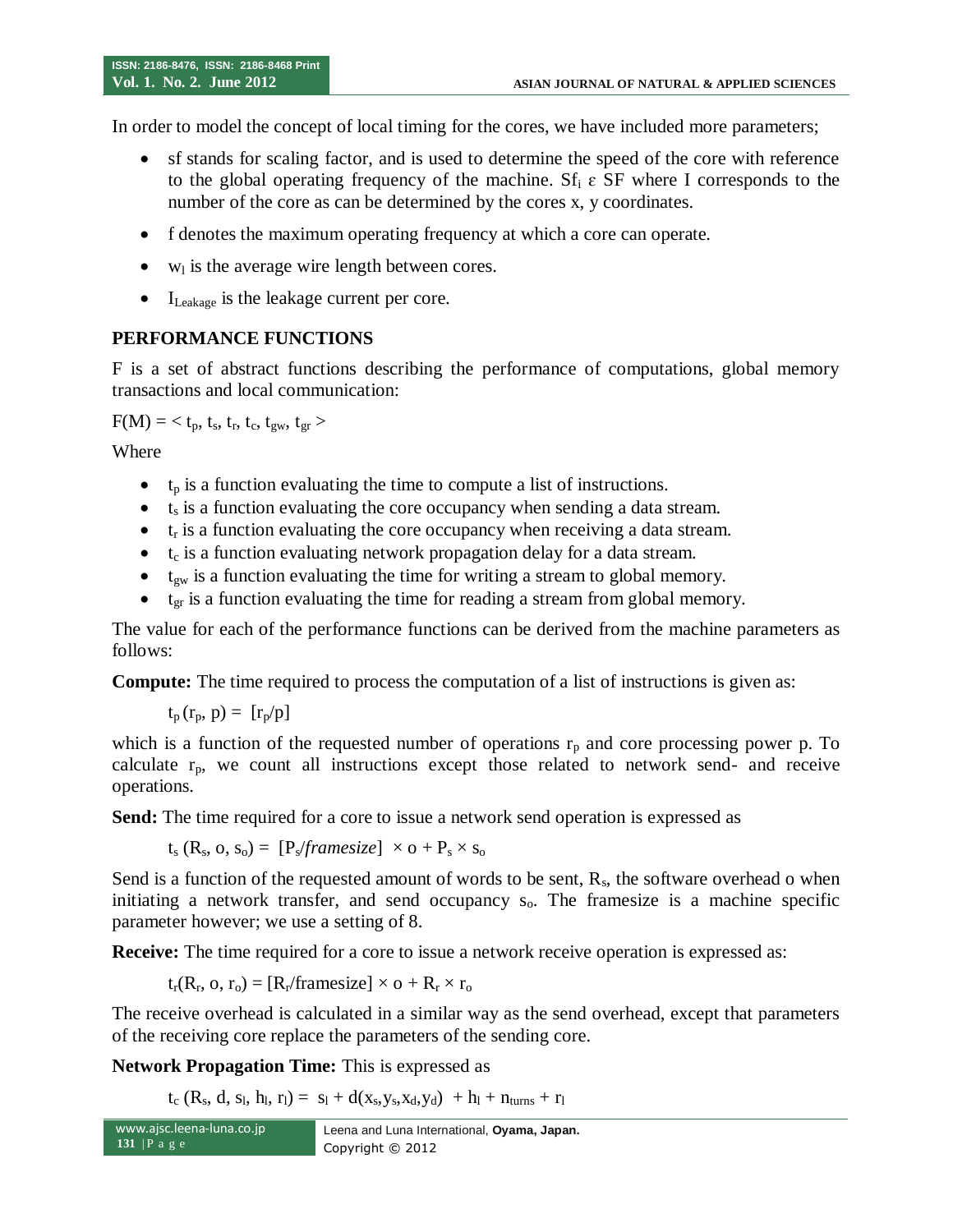In order to model the concept of local timing for the cores, we have included more parameters;

- sf stands for scaling factor, and is used to determine the speed of the core with reference to the global operating frequency of the machine. Sf<sub>i</sub>  $\varepsilon$  SF where I corresponds to the number of the core as can be determined by the cores x, y coordinates.
- f denotes the maximum operating frequency at which a core can operate.
- $\bullet$  w<sub>l</sub> is the average wire length between cores.
- $\bullet$  I<sub>Leakage</sub> is the leakage current per core.

## **PERFORMANCE FUNCTIONS**

F is a set of abstract functions describing the performance of computations, global memory transactions and local communication:

 $F(M) = \langle t_p, t_s, t_r, t_c, t_{gw}, t_{gr} \rangle$ 

Where

- $\bullet$  t<sub>p</sub> is a function evaluating the time to compute a list of instructions.
- $\bullet$  t<sub>s</sub> is a function evaluating the core occupancy when sending a data stream.
- $\bullet$   $t_r$  is a function evaluating the core occupancy when receiving a data stream.
- $\bullet$  t<sub>c</sub> is a function evaluating network propagation delay for a data stream.
- $\bullet$  t<sub>gw</sub> is a function evaluating the time for writing a stream to global memory.
- $\bullet$  t<sub>er</sub> is a function evaluating the time for reading a stream from global memory.

The value for each of the performance functions can be derived from the machine parameters as follows:

**Compute:** The time required to process the computation of a list of instructions is given as:

 $t_p(r_p, p) = [r_p/p]$ 

which is a function of the requested number of operations  $r_p$  and core processing power p. To calculate  $r_p$ , we count all instructions except those related to network send- and receive operations.

**Send:** The time required for a core to issue a network send operation is expressed as

$$
t_s(R_s, o, s_o) = [P_s \text{}/\text{framesize}] \times o + P_s \times s_o
$$

Send is a function of the requested amount of words to be sent,  $R_s$ , the software overhead o when initiating a network transfer, and send occupancy  $s<sub>o</sub>$ . The framesize is a machine specific parameter however; we use a setting of 8.

**Receive:** The time required for a core to issue a network receive operation is expressed as:

 $t_r(R_r, o, r_o) = [R_r/\text{framesize}] \times o + R_r \times r_o$ 

The receive overhead is calculated in a similar way as the send overhead, except that parameters of the receiving core replace the parameters of the sending core.

**Network Propagation Time:** This is expressed as

 $t_c$  (R<sub>s</sub>, d, s<sub>l</sub>, h<sub>l</sub>, r<sub>l</sub>) = s<sub>l</sub> + d(x<sub>s</sub>,y<sub>s</sub>,x<sub>d</sub>,y<sub>d</sub>) + h<sub>l</sub> + n<sub>turns</sub> + r<sub>l</sub>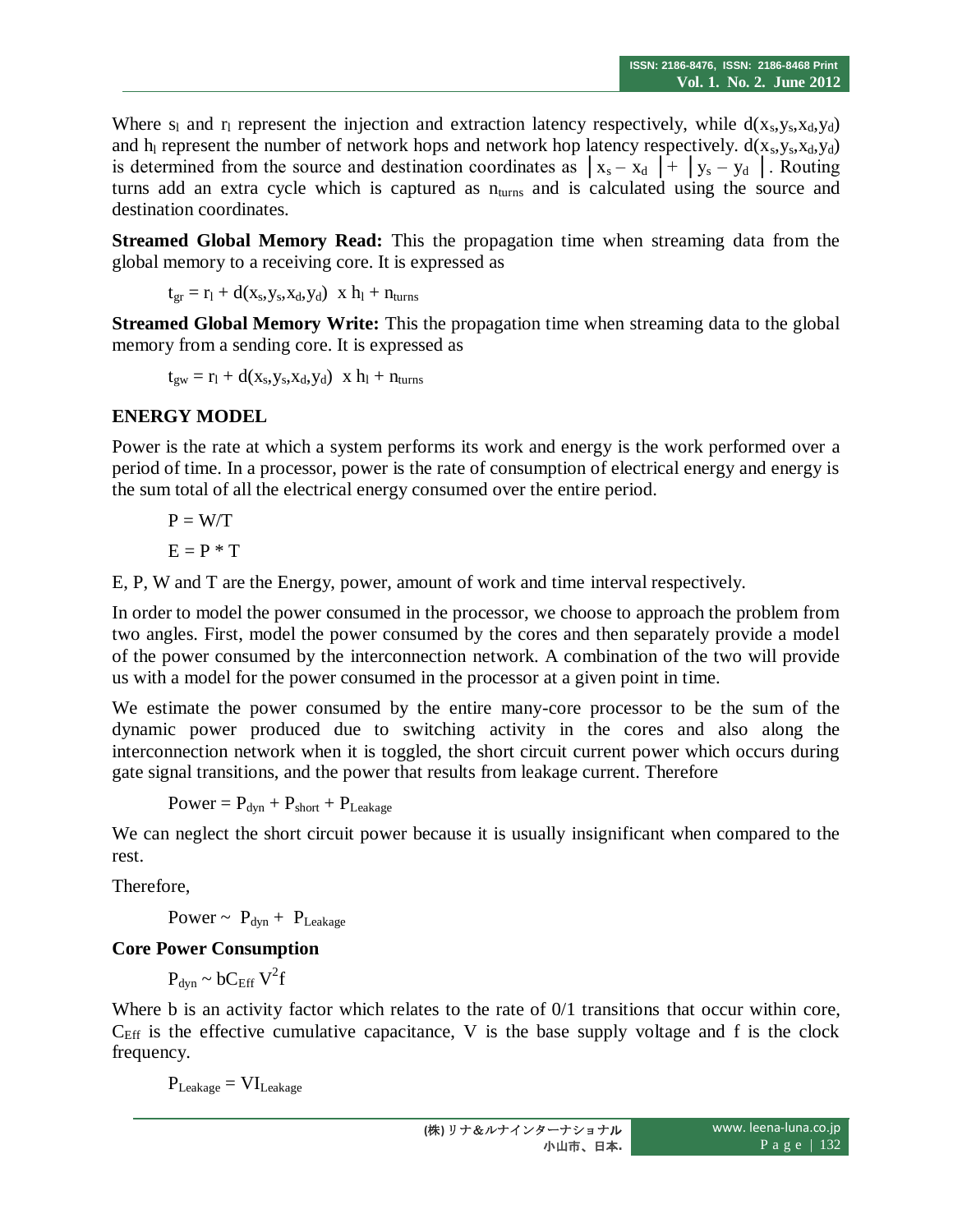Where  $s_1$  and  $r_1$  represent the injection and extraction latency respectively, while  $d(x_s, y_s, x_d, y_d)$ and  $h<sub>l</sub>$  represent the number of network hops and network hop latency respectively.  $d(x<sub>s</sub>,y<sub>s</sub>,x<sub>d</sub>,y<sub>d</sub>)$ is determined from the source and destination coordinates as  $|x_s - x_d| + |y_s - y_d|$ . Routing turns add an extra cycle which is captured as  $n_{\text{turns}}$  and is calculated using the source and destination coordinates.

**Streamed Global Memory Read:** This the propagation time when streaming data from the global memory to a receiving core. It is expressed as

$$
t_{gr}=r_l+d(x_s,y_s,x_d,y_d) \hspace{0.2cm} x \hspace{0.2cm} h_l+n_{turns}
$$

**Streamed Global Memory Write:** This the propagation time when streaming data to the global memory from a sending core. It is expressed as

$$
t_{gw} = r_l + d(x_s, y_s, x_d, y_d) \times h_l + n_{turns}
$$

### **ENERGY MODEL**

Power is the rate at which a system performs its work and energy is the work performed over a period of time. In a processor, power is the rate of consumption of electrical energy and energy is the sum total of all the electrical energy consumed over the entire period.

$$
P = W/T
$$

$$
E = P * T
$$

E, P, W and T are the Energy, power, amount of work and time interval respectively.

In order to model the power consumed in the processor, we choose to approach the problem from two angles. First, model the power consumed by the cores and then separately provide a model of the power consumed by the interconnection network. A combination of the two will provide us with a model for the power consumed in the processor at a given point in time.

We estimate the power consumed by the entire many-core processor to be the sum of the dynamic power produced due to switching activity in the cores and also along the interconnection network when it is toggled, the short circuit current power which occurs during gate signal transitions, and the power that results from leakage current. Therefore

 $Power = P_{dyn} + P_{short} + P_{Leakage}$ 

We can neglect the short circuit power because it is usually insignificant when compared to the rest.

Therefore,

Power ~  $P_{dyn}$  +  $P_{Leakage}$ 

### **Core Power Consumption**

 $P_{dyn} \sim bC_{Eff} V^2 f$ 

Where b is an activity factor which relates to the rate of 0/1 transitions that occur within core,  $C_{\text{Eff}}$  is the effective cumulative capacitance, V is the base supply voltage and f is the clock frequency.

 $P_{\text{Leakage}} = VI_{\text{Leakage}}$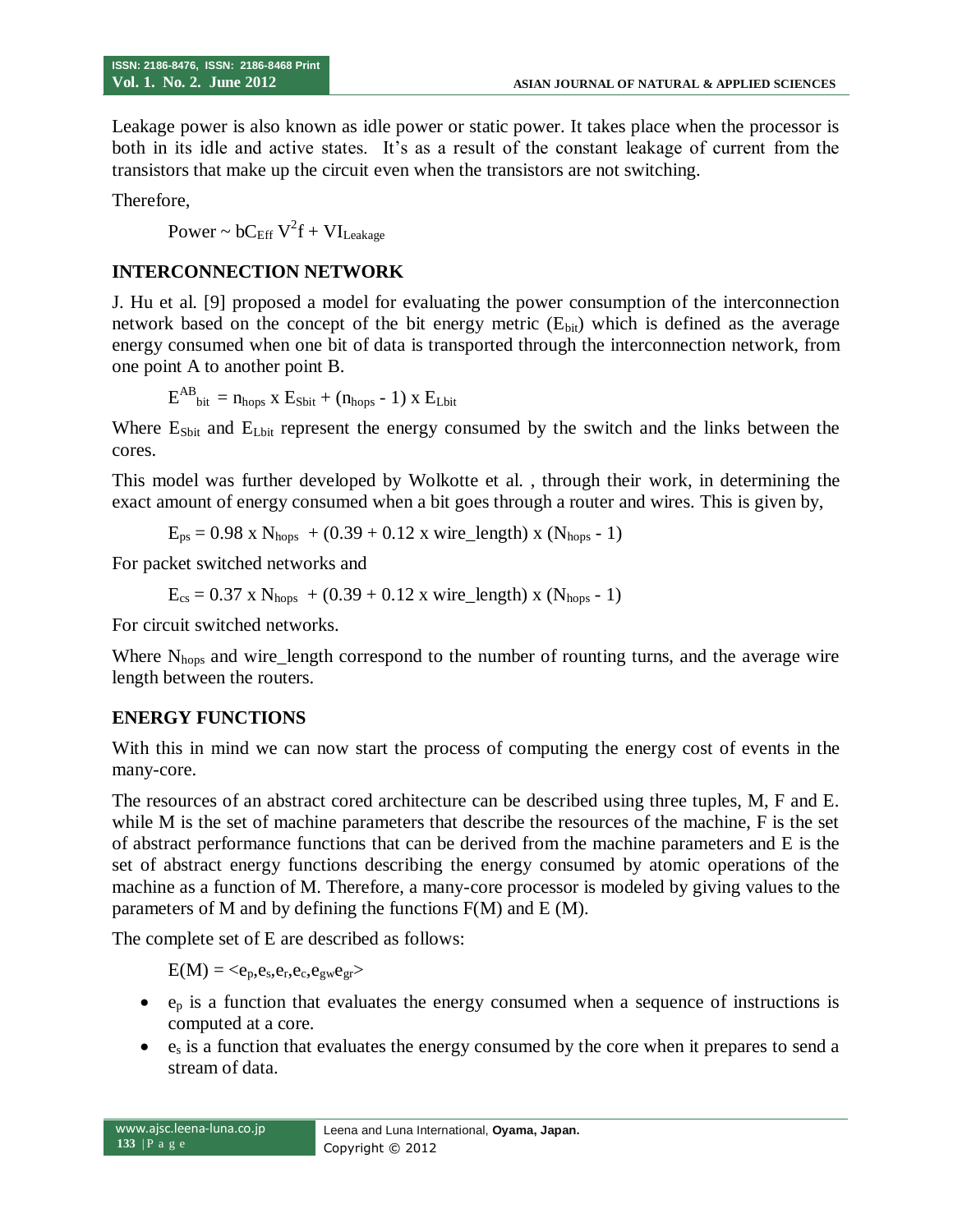Leakage power is also known as idle power or static power. It takes place when the processor is both in its idle and active states. It's as a result of the constant leakage of current from the transistors that make up the circuit even when the transistors are not switching.

Therefore,

Power ~  $bC_{\text{Eff}} V^2 f + VI_{\text{Leakage}}$ 

### **INTERCONNECTION NETWORK**

J. Hu et al. [9] proposed a model for evaluating the power consumption of the interconnection network based on the concept of the bit energy metric  $(E_{bit})$  which is defined as the average energy consumed when one bit of data is transported through the interconnection network, from one point A to another point B.

$$
E^{AB}_{\text{bit}} = n_{\text{hops}} \times E_{\text{Sbit}} + (n_{\text{hops}} - 1) \times E_{\text{Lbit}}
$$

Where  $E_{Sbit}$  and  $E_{Lbit}$  represent the energy consumed by the switch and the links between the cores.

This model was further developed by Wolkotte et al. , through their work, in determining the exact amount of energy consumed when a bit goes through a router and wires. This is given by,

 $E_{ps} = 0.98 \text{ x N}_{hops} + (0.39 + 0.12 \text{ x wire\_length}) \text{ x (N}_{hops} - 1)$ 

For packet switched networks and

 $E_{cs} = 0.37 \times N_{hops} + (0.39 + 0.12 \times wire\_length) \times (N_{hops} - 1)$ 

For circuit switched networks.

Where N<sub>hops</sub> and wire\_length correspond to the number of rounting turns, and the average wire length between the routers.

### **ENERGY FUNCTIONS**

With this in mind we can now start the process of computing the energy cost of events in the many-core.

The resources of an abstract cored architecture can be described using three tuples, M, F and E. while M is the set of machine parameters that describe the resources of the machine, F is the set of abstract performance functions that can be derived from the machine parameters and E is the set of abstract energy functions describing the energy consumed by atomic operations of the machine as a function of M. Therefore, a many-core processor is modeled by giving values to the parameters of M and by defining the functions F(M) and E (M).

The complete set of E are described as follows:

 $E(M) = \langle e_p, e_s, e_r, e_c, e_{gw}e_{gr}\rangle$ 

- $e_p$  is a function that evaluates the energy consumed when a sequence of instructions is computed at a core.
- $\bullet$  e<sub>s</sub> is a function that evaluates the energy consumed by the core when it prepares to send a stream of data.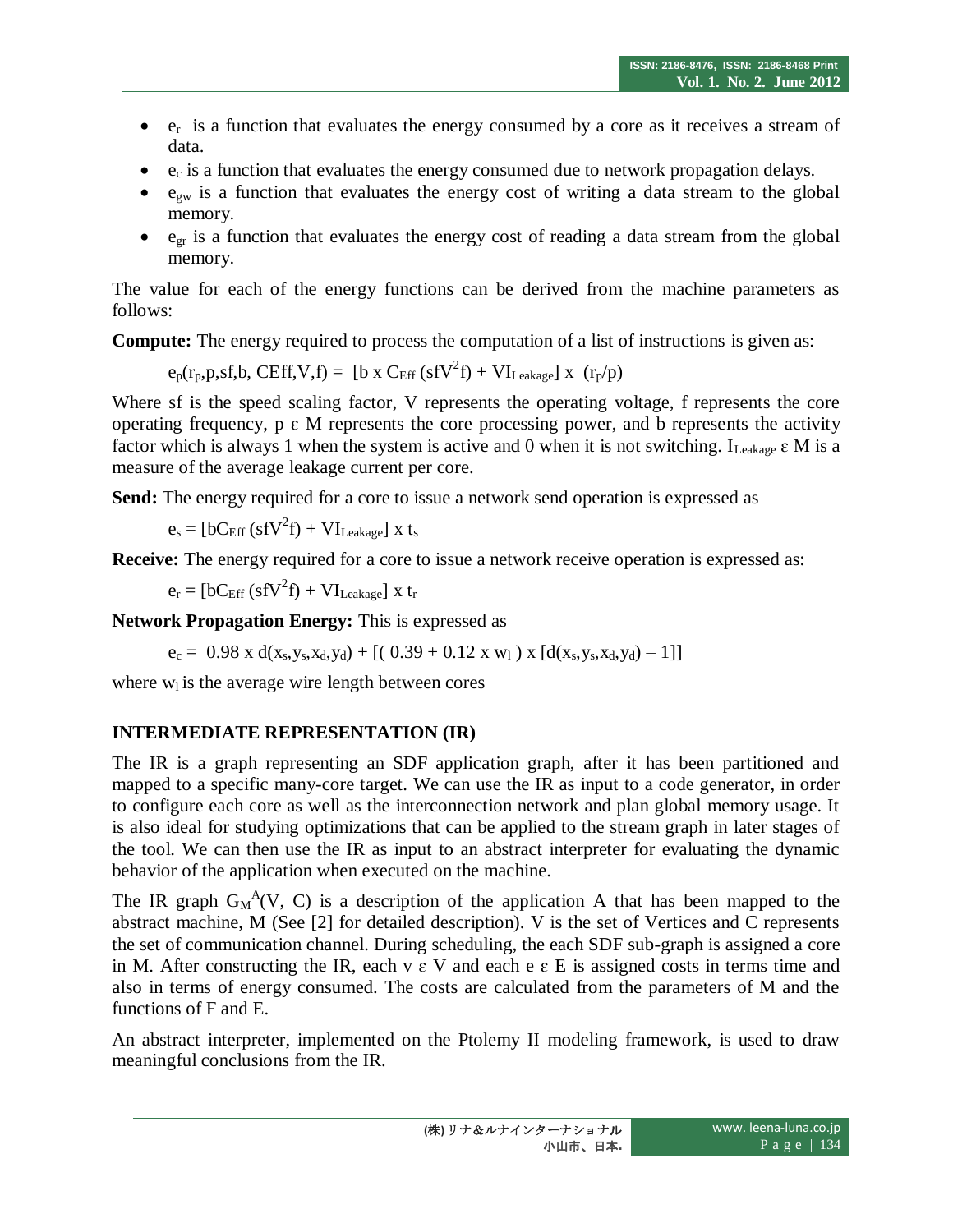- $e_r$  is a function that evaluates the energy consumed by a core as it receives a stream of data.
- $\bullet$   $\cdot$  e<sub>c</sub> is a function that evaluates the energy consumed due to network propagation delays.
- $e_{gw}$  is a function that evaluates the energy cost of writing a data stream to the global memory.
- $e_{gr}$  is a function that evaluates the energy cost of reading a data stream from the global memory.

The value for each of the energy functions can be derived from the machine parameters as follows:

**Compute:** The energy required to process the computation of a list of instructions is given as:

 $e_p(r_p, p, sf, b, CEff, V, f) = [b \times C_{Eff} (sfV^2 f) + VI_{Leakage}] \times (r_p/p)$ 

Where sf is the speed scaling factor, V represents the operating voltage, f represents the core operating frequency,  $p \in M$  represents the core processing power, and b represents the activity factor which is always 1 when the system is active and 0 when it is not switching. I<sub>Leakage</sub>  $\epsilon$  M is a measure of the average leakage current per core.

**Send:** The energy required for a core to issue a network send operation is expressed as

$$
e_s = [bC_{Eff} (s f V^2 f) + VI_{Leakage}] \times t_s
$$

**Receive:** The energy required for a core to issue a network receive operation is expressed as:

 $e_r = [bC_{\text{Eff}} (s f V^2 f) + VI_{\text{Leakage}}]$  x t<sub>r</sub>

**Network Propagation Energy:** This is expressed as

 $e_c = 0.98 \times d(x_s, y_s, x_d, y_d) + [(0.39 + 0.12 \times w_1) \times [d(x_s, y_s, x_d, y_d) - 1]]$ 

where  $w<sub>l</sub>$  is the average wire length between cores

# **INTERMEDIATE REPRESENTATION (IR)**

The IR is a graph representing an SDF application graph, after it has been partitioned and mapped to a specific many-core target. We can use the IR as input to a code generator, in order to configure each core as well as the interconnection network and plan global memory usage. It is also ideal for studying optimizations that can be applied to the stream graph in later stages of the tool. We can then use the IR as input to an abstract interpreter for evaluating the dynamic behavior of the application when executed on the machine.

The IR graph  $G_M^A(V, C)$  is a description of the application A that has been mapped to the abstract machine, M (See [2] for detailed description). V is the set of Vertices and C represents the set of communication channel. During scheduling, the each SDF sub-graph is assigned a core in M. After constructing the IR, each v  $\epsilon$  V and each e  $\epsilon$  E is assigned costs in terms time and also in terms of energy consumed. The costs are calculated from the parameters of M and the functions of F and E.

An abstract interpreter, implemented on the Ptolemy II modeling framework, is used to draw meaningful conclusions from the IR.